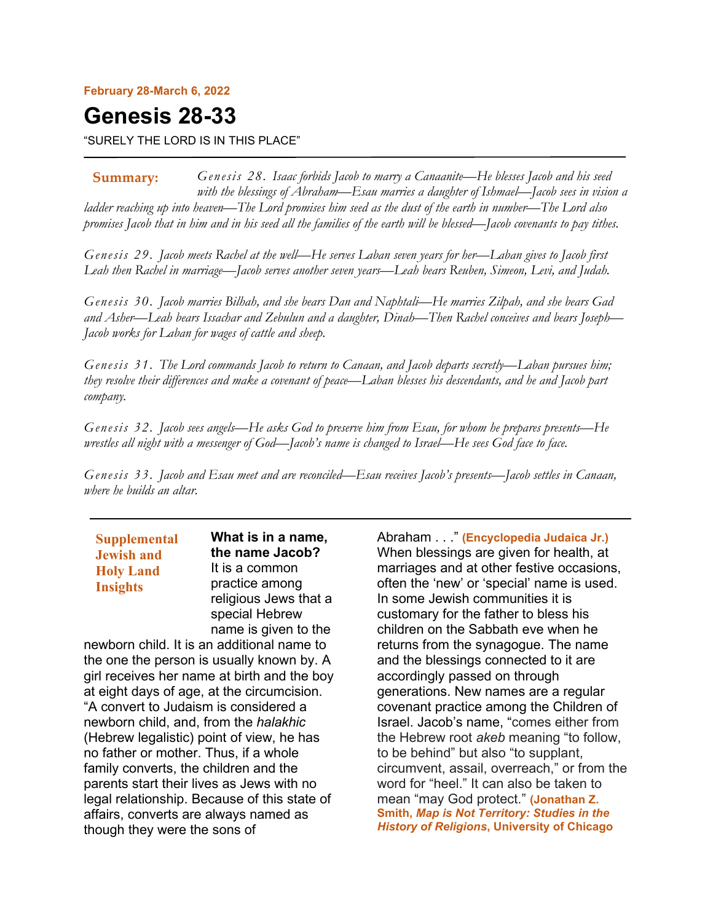#### **February 28-March 6, 2022**

# **Genesis 28-33**

"SURELY THE LORD IS IN THIS PLACE"

*Genesis 28. Isaac forbids Jacob to marry a Canaanite—He blesses Jacob and his seed with the blessings of Abraham—Esau marries a daughter of Ishmael—Jacob sees in vision a ladder reaching up into heaven—The Lord promises him seed as the dust of the earth in number—The Lord also promises Jacob that in him and in his seed all the families of the earth will be blessed—Jacob covenants to pay tithes.* **Summary:**

*Genesis 29. Jacob meets Rachel at the well—He serves Laban seven years for her—Laban gives to Jacob first Leah then Rachel in marriage—Jacob serves another seven years—Leah bears Reuben, Simeon, Levi, and Judah.*

*Genesis 30. Jacob marries Bilhah, and she bears Dan and Naphtali—He marries Zilpah, and she bears Gad and Asher—Leah bears Issachar and Zebulun and a daughter, Dinah—Then Rachel conceives and bears Joseph— Jacob works for Laban for wages of cattle and sheep.*

*Genesis 31. The Lord commands Jacob to return to Canaan, and Jacob departs secretly—Laban pursues him; they resolve their differences and make a covenant of peace—Laban blesses his descendants, and he and Jacob part company.*

*Genesis 32. Jacob sees angels—He asks God to preserve him from Esau, for whom he prepares presents—He wrestles all night with a messenger of God—Jacob's name is changed to Israel—He sees God face to face.*

*Genesis 33. Jacob and Esau meet and are reconciled—Esau receives Jacob's presents—Jacob settles in Canaan, where he builds an altar.*

**Supplemental Jewish and Holy Land Insights**

**What is in a name, the name Jacob?** It is a common practice among religious Jews that a special Hebrew name is given to the

newborn child. It is an additional name to the one the person is usually known by. A girl receives her name at birth and the boy at eight days of age, at the circumcision. "A convert to Judaism is considered a newborn child, and, from the *halakhic* (Hebrew legalistic) point of view, he has no father or mother. Thus, if a whole family converts, the children and the parents start their lives as Jews with no legal relationship. Because of this state of affairs, converts are always named as though they were the sons of

Abraham . . ." **(Encyclopedia Judaica Jr.)** When blessings are given for health, at marriages and at other festive occasions, often the 'new' or 'special' name is used. In some Jewish communities it is customary for the father to bless his children on the Sabbath eve when he returns from the synagogue. The name and the blessings connected to it are accordingly passed on through generations. New names are a regular covenant practice among the Children of Israel. Jacob's name, "comes either from the Hebrew root *akeb* meaning "to follow, to be behind" but also "to supplant, circumvent, assail, overreach," or from the word for "heel." It can also be taken to mean "may God protect." **(Jonathan Z. Smith,** *Map is Not Territory: Studies in the History of Religions***, University of Chicago**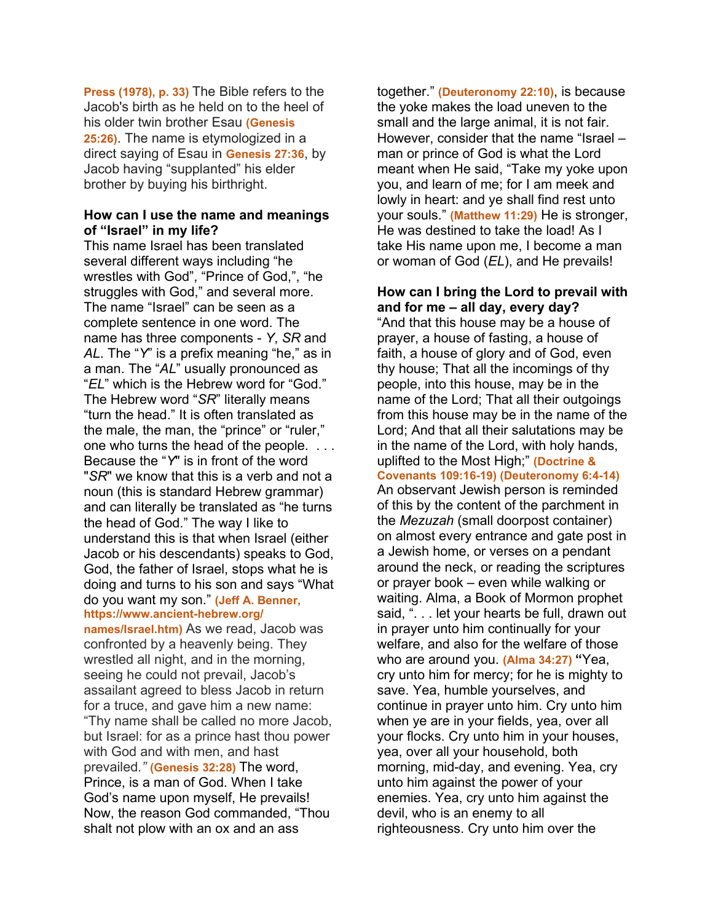**Press (1978), p. 33)** The Bible refers to the Jacob's birth as he held on to the heel of his older twin brother Esau **(Genesis 25:26)**. The name is etymologized in a direct saying of Esau in **Genesis 27:36**, by Jacob having "supplanted" his elder brother by buying his birthright.

## **How can I use the name and meanings of "Israel" in my life?**

This name Israel has been translated several different ways including "he wrestles with God", "Prince of God,", "he struggles with God," and several more. The name "Israel" can be seen as a complete sentence in one word. The name has three components - *Y*, *SR* and *AL*. The "*Y*" is a prefix meaning "he," as in a man. The "*AL*" usually pronounced as "*EL*" which is the Hebrew word for "God." The Hebrew word "*SR*" literally means "turn the head." It is often translated as the male, the man, the "prince" or "ruler," one who turns the head of the people. . . . Because the "*Y*" is in front of the word "*SR*" we know that this is a verb and not a noun (this is standard Hebrew grammar) and can literally be translated as "he turns the head of God." The way I like to understand this is that when Israel (either Jacob or his descendants) speaks to God, God, the father of Israel, stops what he is doing and turns to his son and says "What do you want my son." **(Jeff A. Benner, https://www.ancient-hebrew.org/**

**names/Israel.htm)** As we read, Jacob was confronted by a heavenly being. They wrestled all night, and in the morning, seeing he could not prevail, Jacob's assailant agreed to bless Jacob in return for a truce, and gave him a new name: "Thy name shall be called no more Jacob, but Israel: for as a prince hast thou power with God and with men, and hast prevailed*."* **(Genesis 32:28)** The word, Prince, is a man of God. When I take God's name upon myself, He prevails! Now, the reason God commanded, "Thou shalt not plow with an ox and an ass

together." **(Deuteronomy 22:10)**, is because the yoke makes the load uneven to the small and the large animal, it is not fair. However, consider that the name "Israel – man or prince of God is what the Lord meant when He said, "Take my yoke upon you, and learn of me; for I am meek and lowly in heart: and ye shall find rest unto your souls." **(Matthew 11:29)** He is stronger, He was destined to take the load! As I take His name upon me, I become a man or woman of God (*EL*), and He prevails!

# **How can I bring the Lord to prevail with and for me – all day, every day?** "And that this house may be a house of prayer, a house of fasting, a house of faith, a house of glory and of God, even thy house; That all the incomings of thy people, into this house, may be in the name of the Lord; That all their outgoings from this house may be in the name of the Lord; And that all their salutations may be in the name of the Lord, with holy hands, uplifted to the Most High;" **(Doctrine & Covenants 109:16-19) (Deuteronomy 6:4-14)** An observant Jewish person is reminded of this by the content of the parchment in the *Mezuzah* (small doorpost container) on almost every entrance and gate post in a Jewish home, or verses on a pendant around the neck, or reading the scriptures or prayer book – even while walking or

waiting. Alma, a Book of Mormon prophet said, ". . . let your hearts be full, drawn out in prayer unto him continually for your welfare, and also for the welfare of those who are around you. **(Alma 34:27) "**Yea, cry unto him for mercy; for he is mighty to save. Yea, humble yourselves, and continue in prayer unto him. Cry unto him when ye are in your fields, yea, over all your flocks. Cry unto him in your houses, yea, over all your household, both morning, mid-day, and evening. Yea, cry unto him against the power of your enemies. Yea, cry unto him against the devil, who is an enemy to all righteousness. Cry unto him over the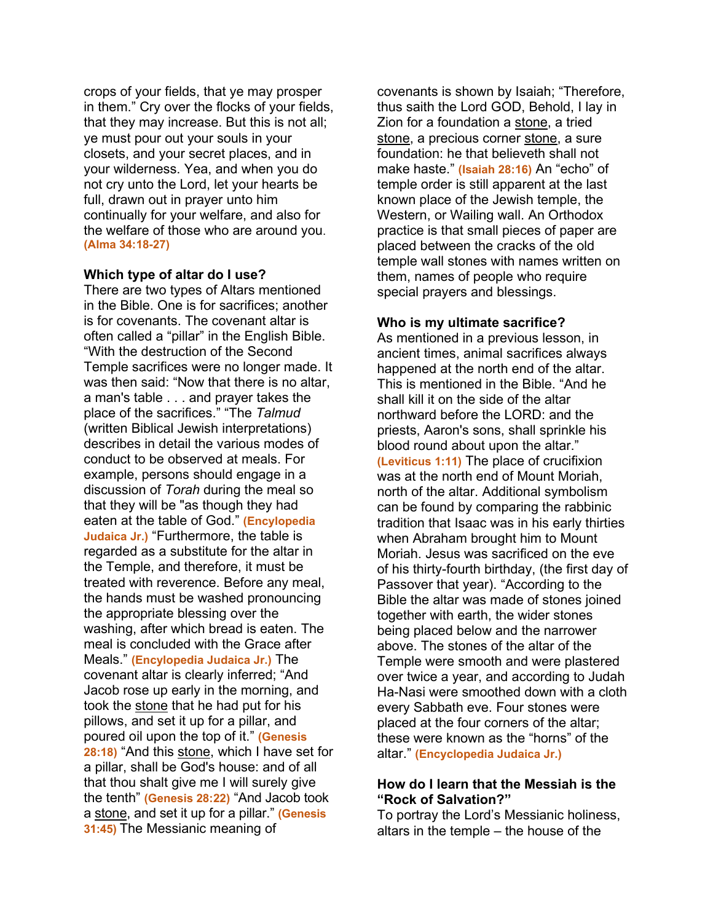crops of your fields, that ye may prosper in them." Cry over the flocks of your fields, that they may increase. But this is not all; ye must pour out your souls in your closets, and your secret places, and in your wilderness. Yea, and when you do not cry unto the Lord, let your hearts be full, drawn out in prayer unto him continually for your welfare, and also for the welfare of those who are around you. **(Alma 34:18-27)**

#### **Which type of altar do I use?**

There are two types of Altars mentioned in the Bible. One is for sacrifices; another is for covenants. The covenant altar is often called a "pillar" in the English Bible. "With the destruction of the Second Temple sacrifices were no longer made. It was then said: "Now that there is no altar, a man's table . . . and prayer takes the place of the sacrifices." "The *Talmud* (written Biblical Jewish interpretations) describes in detail the various modes of conduct to be observed at meals. For example, persons should engage in a discussion of *Torah* during the meal so that they will be "as though they had eaten at the table of God." **(Encylopedia Judaica Jr.)** "Furthermore, the table is regarded as a substitute for the altar in the Temple, and therefore, it must be treated with reverence. Before any meal, the hands must be washed pronouncing the appropriate blessing over the washing, after which bread is eaten. The meal is concluded with the Grace after Meals." **(Encylopedia Judaica Jr.)** The covenant altar is clearly inferred; "And Jacob rose up early in the morning, and took the stone that he had put for his pillows, and set it up for a pillar, and poured oil upon the top of it." **(Genesis 28:18)** "And this stone, which I have set for a pillar, shall be God's house: and of all that thou shalt give me I will surely give the tenth" **(Genesis 28:22)** "And Jacob took a stone, and set it up for a pillar." **(Genesis 31:45)** The Messianic meaning of

covenants is shown by Isaiah; "Therefore, thus saith the Lord GOD, Behold, I lay in Zion for a foundation a stone, a tried stone, a precious corner stone, a sure foundation: he that believeth shall not make haste." **(Isaiah 28:16)** An "echo" of temple order is still apparent at the last known place of the Jewish temple, the Western, or Wailing wall. An Orthodox practice is that small pieces of paper are placed between the cracks of the old temple wall stones with names written on them, names of people who require special prayers and blessings.

#### **Who is my ultimate sacrifice?**

As mentioned in a previous lesson, in ancient times, animal sacrifices always happened at the north end of the altar. This is mentioned in the Bible. "And he shall kill it on the side of the altar northward before the LORD: and the priests, Aaron's sons, shall sprinkle his blood round about upon the altar." **(Leviticus 1:11)** The place of crucifixion was at the north end of Mount Moriah, north of the altar. Additional symbolism can be found by comparing the rabbinic tradition that Isaac was in his early thirties when Abraham brought him to Mount Moriah. Jesus was sacrificed on the eve of his thirty-fourth birthday, (the first day of Passover that year). "According to the Bible the altar was made of stones joined together with earth, the wider stones being placed below and the narrower above. The stones of the altar of the Temple were smooth and were plastered over twice a year, and according to Judah Ha-Nasi were smoothed down with a cloth every Sabbath eve. Four stones were placed at the four corners of the altar; these were known as the "horns" of the altar." **(Encyclopedia Judaica Jr.)**

#### **How do I learn that the Messiah is the "Rock of Salvation?"**

To portray the Lord's Messianic holiness, altars in the temple – the house of the